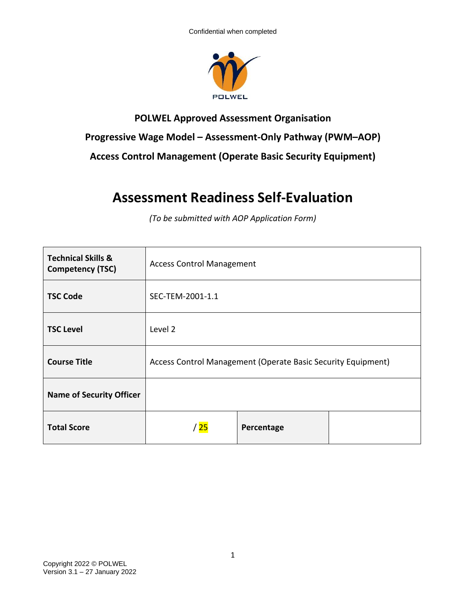

## **POLWEL Approved Assessment Organisation Progressive Wage Model – Assessment-Only Pathway (PWM–AOP) Access Control Management (Operate Basic Security Equipment)**

## **Assessment Readiness Self-Evaluation**

*(To be submitted with AOP Application Form)*

| <b>Technical Skills &amp;</b><br><b>Competency (TSC)</b> | <b>Access Control Management</b>                             |            |  |
|----------------------------------------------------------|--------------------------------------------------------------|------------|--|
| <b>TSC Code</b>                                          | SEC-TEM-2001-1.1                                             |            |  |
| <b>TSC Level</b>                                         | Level 2                                                      |            |  |
| <b>Course Title</b>                                      | Access Control Management (Operate Basic Security Equipment) |            |  |
| <b>Name of Security Officer</b>                          |                                                              |            |  |
| <b>Total Score</b>                                       | $^{\prime}$ 25                                               | Percentage |  |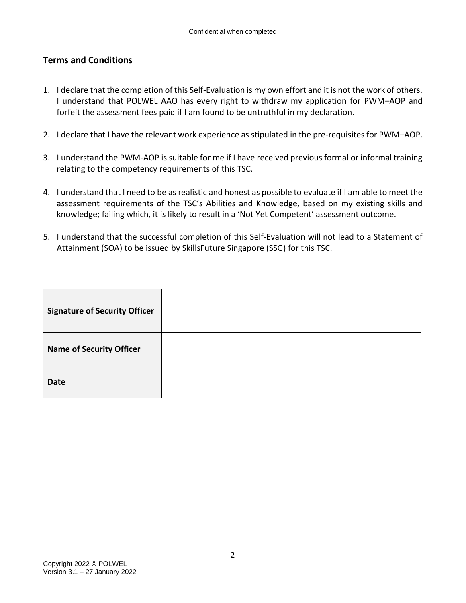## **Terms and Conditions**

- 1. I declare that the completion of this Self-Evaluation is my own effort and it is not the work of others. I understand that POLWEL AAO has every right to withdraw my application for PWM–AOP and forfeit the assessment fees paid if I am found to be untruthful in my declaration.
- 2. I declare that I have the relevant work experience as stipulated in the pre-requisites for PWM–AOP.
- 3. I understand the PWM-AOP is suitable for me if I have received previous formal or informal training relating to the competency requirements of this TSC.
- 4. I understand that I need to be as realistic and honest as possible to evaluate if I am able to meet the assessment requirements of the TSC's Abilities and Knowledge, based on my existing skills and knowledge; failing which, it is likely to result in a 'Not Yet Competent' assessment outcome.
- 5. I understand that the successful completion of this Self-Evaluation will not lead to a Statement of Attainment (SOA) to be issued by SkillsFuture Singapore (SSG) for this TSC.

| <b>Signature of Security Officer</b> |  |
|--------------------------------------|--|
| <b>Name of Security Officer</b>      |  |
| <b>Date</b>                          |  |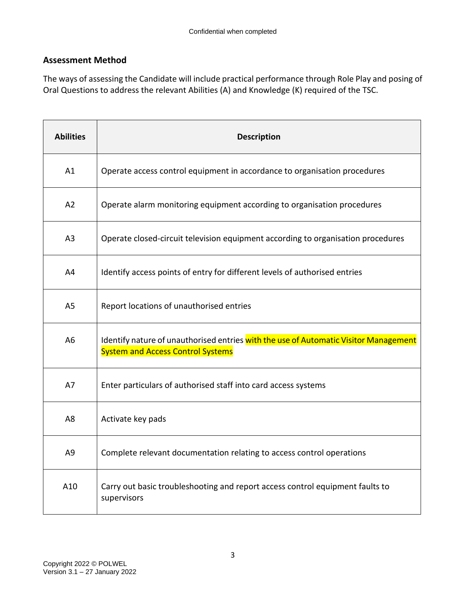## **Assessment Method**

The ways of assessing the Candidate will include practical performance through Role Play and posing of Oral Questions to address the relevant Abilities (A) and Knowledge (K) required of the TSC.

| <b>Abilities</b> | <b>Description</b>                                                                                                               |
|------------------|----------------------------------------------------------------------------------------------------------------------------------|
| A1               | Operate access control equipment in accordance to organisation procedures                                                        |
| A2               | Operate alarm monitoring equipment according to organisation procedures                                                          |
| A <sub>3</sub>   | Operate closed-circuit television equipment according to organisation procedures                                                 |
| A4               | Identify access points of entry for different levels of authorised entries                                                       |
| A <sub>5</sub>   | Report locations of unauthorised entries                                                                                         |
| A <sub>6</sub>   | Identify nature of unauthorised entries with the use of Automatic Visitor Management<br><b>System and Access Control Systems</b> |
| A7               | Enter particulars of authorised staff into card access systems                                                                   |
| A <sub>8</sub>   | Activate key pads                                                                                                                |
| A <sub>9</sub>   | Complete relevant documentation relating to access control operations                                                            |
| A10              | Carry out basic troubleshooting and report access control equipment faults to<br>supervisors                                     |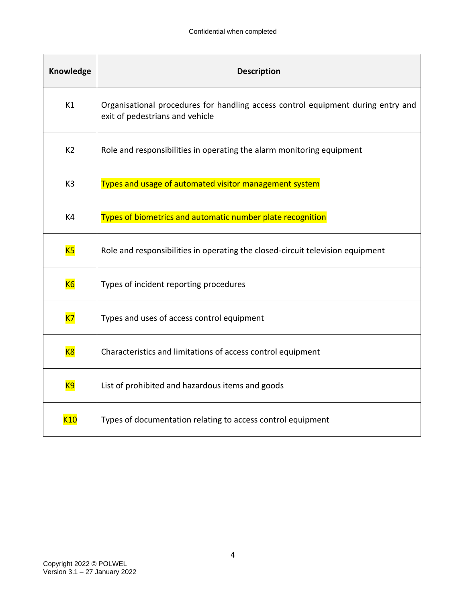| Knowledge       | <b>Description</b>                                                                                                  |
|-----------------|---------------------------------------------------------------------------------------------------------------------|
| K1              | Organisational procedures for handling access control equipment during entry and<br>exit of pedestrians and vehicle |
| K <sub>2</sub>  | Role and responsibilities in operating the alarm monitoring equipment                                               |
| K <sub>3</sub>  | Types and usage of automated visitor management system                                                              |
| K4              | Types of biometrics and automatic number plate recognition                                                          |
| K5              | Role and responsibilities in operating the closed-circuit television equipment                                      |
| K6              | Types of incident reporting procedures                                                                              |
| $K$ 7           | Types and uses of access control equipment                                                                          |
| K8              | Characteristics and limitations of access control equipment                                                         |
| <b>K9</b>       | List of prohibited and hazardous items and goods                                                                    |
| K <sub>10</sub> | Types of documentation relating to access control equipment                                                         |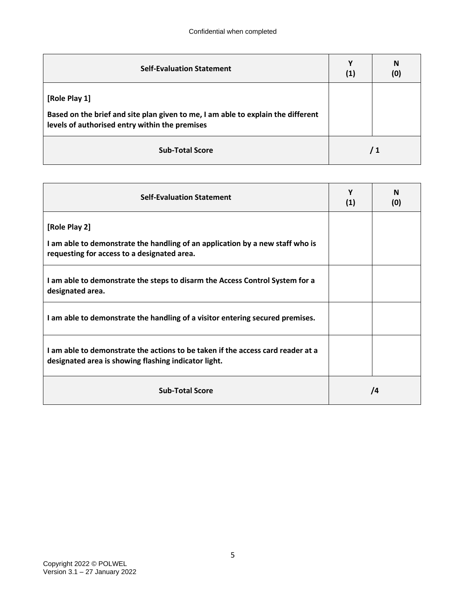| <b>Self-Evaluation Statement</b>                                                                                                                    | Υ<br>(1) | N<br>(0) |
|-----------------------------------------------------------------------------------------------------------------------------------------------------|----------|----------|
| [Role Play 1]<br>Based on the brief and site plan given to me, I am able to explain the different<br>levels of authorised entry within the premises |          |          |
| <b>Sub-Total Score</b>                                                                                                                              |          | / 1      |

| <b>Self-Evaluation Statement</b>                                                                                                              | Y<br>(1) | N<br>(0) |
|-----------------------------------------------------------------------------------------------------------------------------------------------|----------|----------|
| [Role Play 2]<br>I am able to demonstrate the handling of an application by a new staff who is<br>requesting for access to a designated area. |          |          |
| I am able to demonstrate the steps to disarm the Access Control System for a<br>designated area.                                              |          |          |
| I am able to demonstrate the handling of a visitor entering secured premises.                                                                 |          |          |
| I am able to demonstrate the actions to be taken if the access card reader at a<br>designated area is showing flashing indicator light.       |          |          |
| <b>Sub-Total Score</b>                                                                                                                        |          | /4       |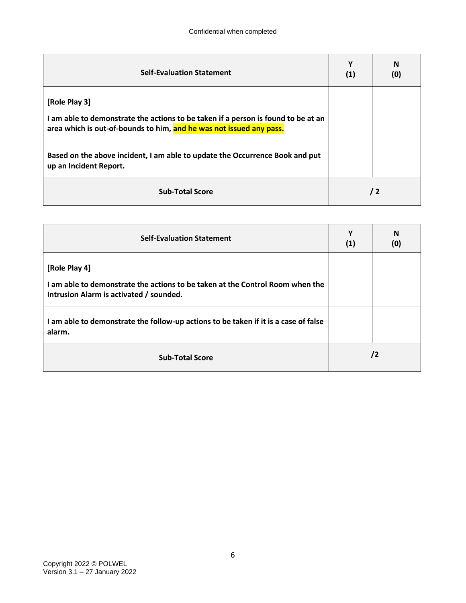| <b>Self-Evaluation Statement</b>                                                                                                                                          | ν<br>(1) | N<br>(0)   |
|---------------------------------------------------------------------------------------------------------------------------------------------------------------------------|----------|------------|
| [Role Play 3]<br>I am able to demonstrate the actions to be taken if a person is found to be at an<br>area which is out-of-bounds to him, and he was not issued any pass. |          |            |
| Based on the above incident, I am able to update the Occurrence Book and put<br>up an Incident Report.                                                                    |          |            |
| <b>Sub-Total Score</b>                                                                                                                                                    |          | $\sqrt{2}$ |

| <b>Self-Evaluation Statement</b>                                                                                                          | Υ<br>(1) | N<br>(0) |
|-------------------------------------------------------------------------------------------------------------------------------------------|----------|----------|
| [Role Play 4]<br>I am able to demonstrate the actions to be taken at the Control Room when the<br>Intrusion Alarm is activated / sounded. |          |          |
| I am able to demonstrate the follow-up actions to be taken if it is a case of false<br>alarm.                                             |          |          |
| <b>Sub-Total Score</b>                                                                                                                    |          | /2       |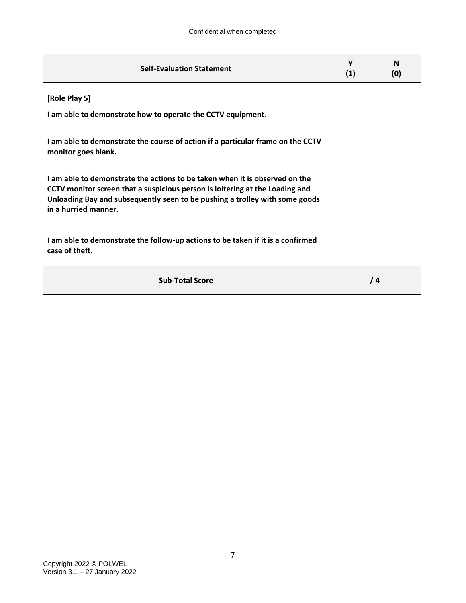| <b>Self-Evaluation Statement</b>                                                                                                                                                                                                                                   | Υ<br>(1) | N<br>(0) |
|--------------------------------------------------------------------------------------------------------------------------------------------------------------------------------------------------------------------------------------------------------------------|----------|----------|
| [Role Play 5]                                                                                                                                                                                                                                                      |          |          |
| I am able to demonstrate how to operate the CCTV equipment.                                                                                                                                                                                                        |          |          |
| I am able to demonstrate the course of action if a particular frame on the CCTV<br>monitor goes blank.                                                                                                                                                             |          |          |
| I am able to demonstrate the actions to be taken when it is observed on the<br>CCTV monitor screen that a suspicious person is loitering at the Loading and<br>Unloading Bay and subsequently seen to be pushing a trolley with some goods<br>in a hurried manner. |          |          |
| I am able to demonstrate the follow-up actions to be taken if it is a confirmed<br>case of theft.                                                                                                                                                                  |          |          |
| <b>Sub-Total Score</b>                                                                                                                                                                                                                                             |          | /4       |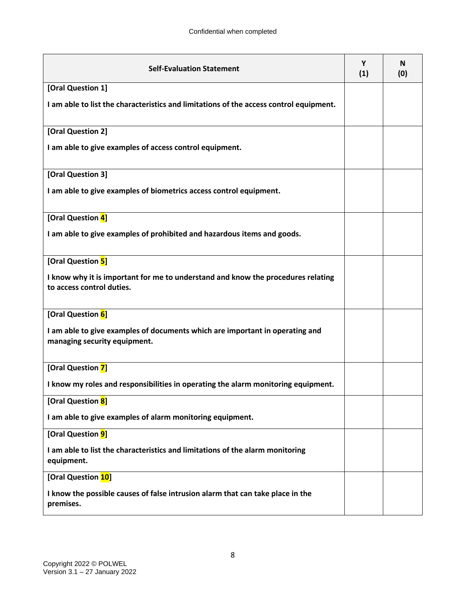| <b>Self-Evaluation Statement</b>                                                                              | Υ<br>(1) | N<br>(0) |
|---------------------------------------------------------------------------------------------------------------|----------|----------|
| [Oral Question 1]                                                                                             |          |          |
| I am able to list the characteristics and limitations of the access control equipment.                        |          |          |
| [Oral Question 2]                                                                                             |          |          |
| I am able to give examples of access control equipment.                                                       |          |          |
| [Oral Question 3]                                                                                             |          |          |
| I am able to give examples of biometrics access control equipment.                                            |          |          |
| [Oral Question 4]                                                                                             |          |          |
| I am able to give examples of prohibited and hazardous items and goods.                                       |          |          |
| [Oral Question 5]                                                                                             |          |          |
| I know why it is important for me to understand and know the procedures relating<br>to access control duties. |          |          |
| [Oral Question 6]                                                                                             |          |          |
| I am able to give examples of documents which are important in operating and<br>managing security equipment.  |          |          |
| [Oral Question 7]                                                                                             |          |          |
| I know my roles and responsibilities in operating the alarm monitoring equipment.                             |          |          |
| [Oral Question 8]                                                                                             |          |          |
| I am able to give examples of alarm monitoring equipment.                                                     |          |          |
| [Oral Question 9]                                                                                             |          |          |
| I am able to list the characteristics and limitations of the alarm monitoring<br>equipment.                   |          |          |
| [Oral Question 10]                                                                                            |          |          |
| I know the possible causes of false intrusion alarm that can take place in the<br>premises.                   |          |          |